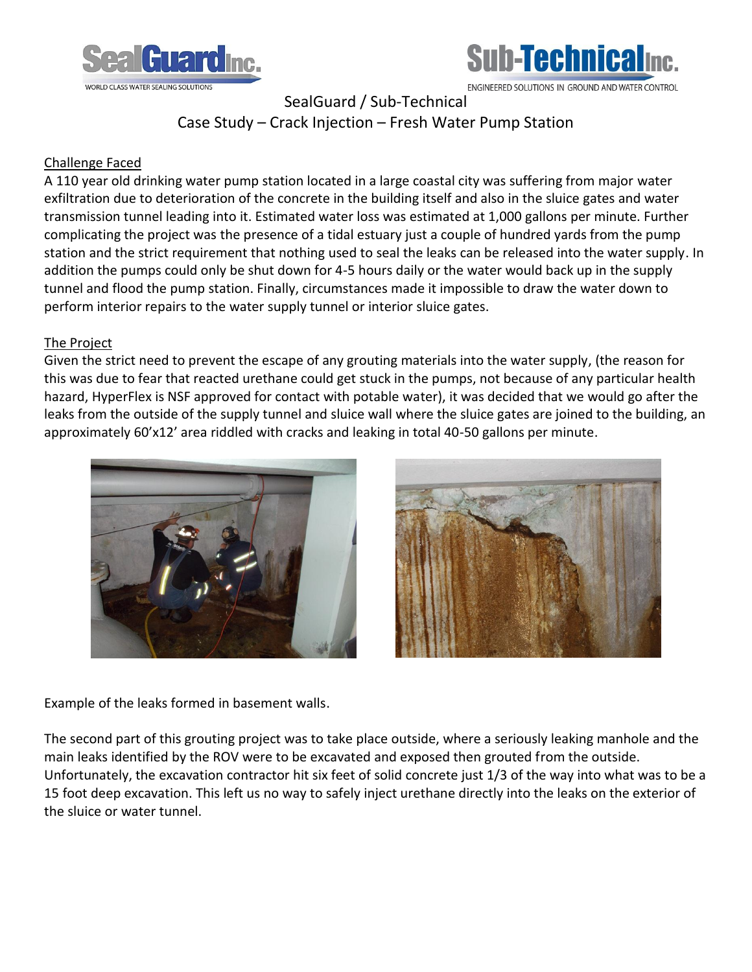



ENGINEERED SOLUTIONS IN GROUND AND WATER CONTROL

SealGuard / Sub-Technical

Case Study – Crack Injection – Fresh Water Pump Station

## Challenge Faced

A 110 year old drinking water pump station located in a large coastal city was suffering from major water exfiltration due to deterioration of the concrete in the building itself and also in the sluice gates and water transmission tunnel leading into it. Estimated water loss was estimated at 1,000 gallons per minute. Further complicating the project was the presence of a tidal estuary just a couple of hundred yards from the pump station and the strict requirement that nothing used to seal the leaks can be released into the water supply. In addition the pumps could only be shut down for 4-5 hours daily or the water would back up in the supply tunnel and flood the pump station. Finally, circumstances made it impossible to draw the water down to perform interior repairs to the water supply tunnel or interior sluice gates.

## The Project

Given the strict need to prevent the escape of any grouting materials into the water supply, (the reason for this was due to fear that reacted urethane could get stuck in the pumps, not because of any particular health hazard, HyperFlex is NSF approved for contact with potable water), it was decided that we would go after the leaks from the outside of the supply tunnel and sluice wall where the sluice gates are joined to the building, an approximately 60'x12' area riddled with cracks and leaking in total 40-50 gallons per minute.





Example of the leaks formed in basement walls.

The second part of this grouting project was to take place outside, where a seriously leaking manhole and the main leaks identified by the ROV were to be excavated and exposed then grouted from the outside. Unfortunately, the excavation contractor hit six feet of solid concrete just 1/3 of the way into what was to be a 15 foot deep excavation. This left us no way to safely inject urethane directly into the leaks on the exterior of the sluice or water tunnel.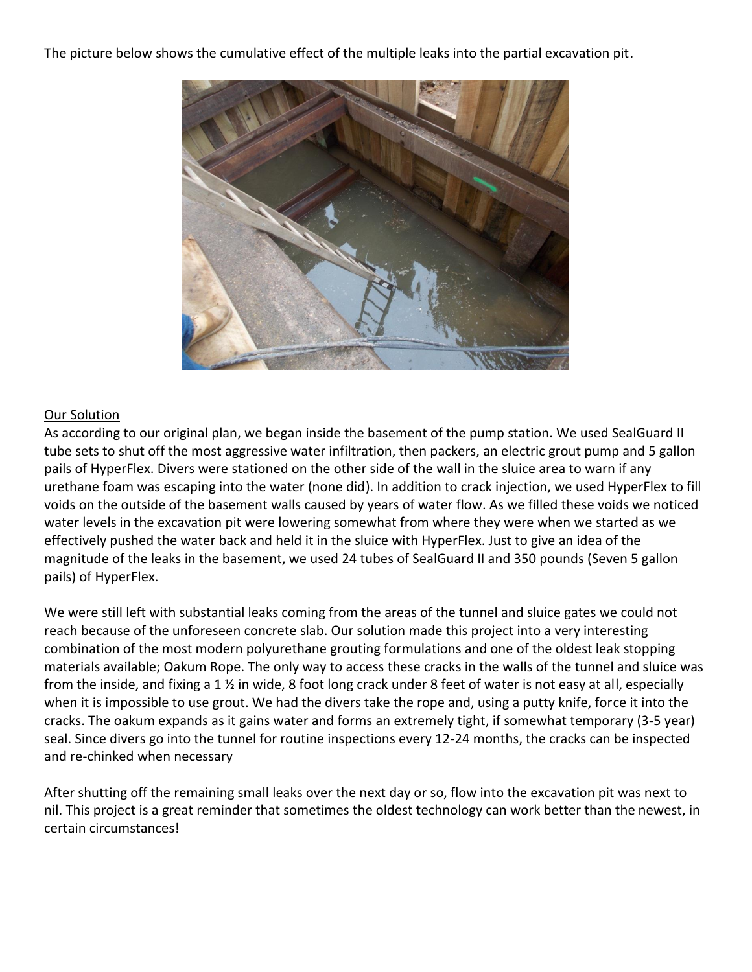The picture below shows the cumulative effect of the multiple leaks into the partial excavation pit.



## Our Solution

As according to our original plan, we began inside the basement of the pump station. We used SealGuard II tube sets to shut off the most aggressive water infiltration, then packers, an electric grout pump and 5 gallon pails of HyperFlex. Divers were stationed on the other side of the wall in the sluice area to warn if any urethane foam was escaping into the water (none did). In addition to crack injection, we used HyperFlex to fill voids on the outside of the basement walls caused by years of water flow. As we filled these voids we noticed water levels in the excavation pit were lowering somewhat from where they were when we started as we effectively pushed the water back and held it in the sluice with HyperFlex. Just to give an idea of the magnitude of the leaks in the basement, we used 24 tubes of SealGuard II and 350 pounds (Seven 5 gallon pails) of HyperFlex.

We were still left with substantial leaks coming from the areas of the tunnel and sluice gates we could not reach because of the unforeseen concrete slab. Our solution made this project into a very interesting combination of the most modern polyurethane grouting formulations and one of the oldest leak stopping materials available; Oakum Rope. The only way to access these cracks in the walls of the tunnel and sluice was from the inside, and fixing a 1 ½ in wide, 8 foot long crack under 8 feet of water is not easy at all, especially when it is impossible to use grout. We had the divers take the rope and, using a putty knife, force it into the cracks. The oakum expands as it gains water and forms an extremely tight, if somewhat temporary (3-5 year) seal. Since divers go into the tunnel for routine inspections every 12-24 months, the cracks can be inspected and re-chinked when necessary

After shutting off the remaining small leaks over the next day or so, flow into the excavation pit was next to nil. This project is a great reminder that sometimes the oldest technology can work better than the newest, in certain circumstances!